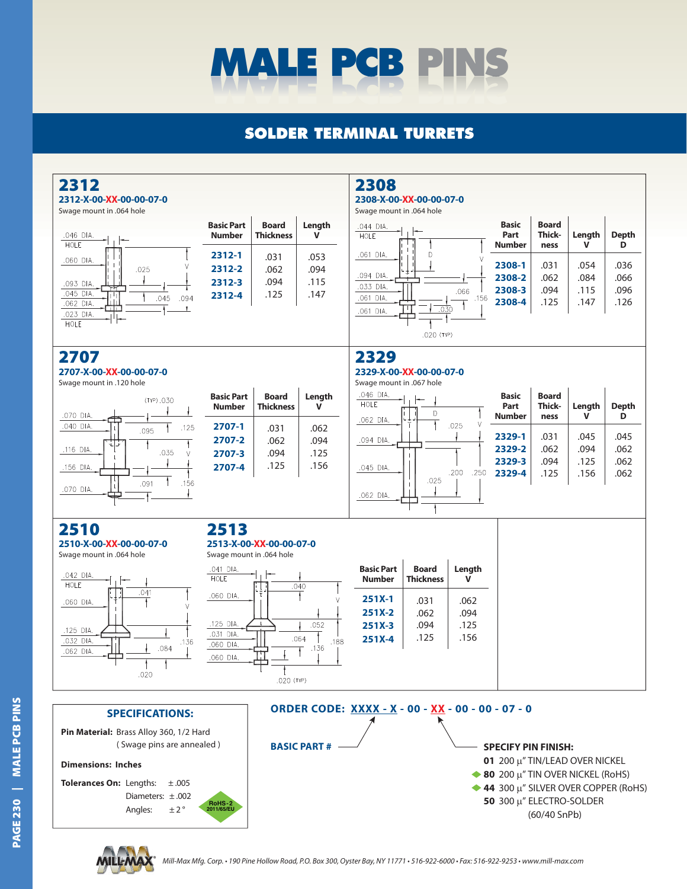

## **SOLDER TERMINAL TURRETS**

| 2312<br>2312-X-00-XX-00-00-07-0<br>Swage mount in .064 hole                                                                                                                      |                                                               |                                  |                              | 2308<br>2308-X-00-XX-00-00-07-0<br>Swage mount in .064 hole   |                                  |                              |                                                                                                                                                                                           |                                       |                              |                              |
|----------------------------------------------------------------------------------------------------------------------------------------------------------------------------------|---------------------------------------------------------------|----------------------------------|------------------------------|---------------------------------------------------------------|----------------------------------|------------------------------|-------------------------------------------------------------------------------------------------------------------------------------------------------------------------------------------|---------------------------------------|------------------------------|------------------------------|
| .046 DIA.<br>HOLE                                                                                                                                                                | <b>Basic Part</b><br><b>Number</b>                            | <b>Board</b><br><b>Thickness</b> | Length<br>v                  | .044 DIA.<br>HOLE                                             |                                  |                              | <b>Basic</b><br>Part<br><b>Number</b>                                                                                                                                                     | <b>Board</b><br><b>Thick-</b><br>ness | Length<br>$\mathbf{v}$       | <b>Depth</b><br>D            |
| .060 DIA.<br>.025<br>.093 DIA.<br>דיז<br>.045 DIA<br>.094<br>.045<br>Шт<br>.062 DIA.<br>$\overline{\mathbf{H}}$<br>$\mathbf{L}$<br>.023 DIA.<br>HOLE                             | 2312-1<br>2312-2<br>2312-3<br>2312-4                          | .031<br>.062<br>.094<br>.125     | .053<br>.094<br>.115<br>.147 | .061 DIA.<br>.094 DIA.<br>.033 DIA.<br>.061 DIA.<br>.061 DIA. | D<br>.030<br>.020 (TYP)          | .066<br>.156                 | 2308-1<br>2308-2<br>2308-3<br>2308-4                                                                                                                                                      | .031<br>.062<br>.094<br>.125          | .054<br>.084<br>.115<br>.147 | .036<br>.066<br>.096<br>.126 |
| 2707<br>2707-X-00-XX-00-00-07-0                                                                                                                                                  |                                                               |                                  |                              | 2329<br>2329-X-00-XX-00-00-07-0                               |                                  |                              |                                                                                                                                                                                           |                                       |                              |                              |
| Swage mount in .120 hole<br>(TYP).030<br>.070 DIA.<br>−                                                                                                                          | <b>Basic Part</b><br><b>Number</b>                            | <b>Board</b><br><b>Thickness</b> | Length<br>$\mathbf v$        | Swage mount in .067 hole<br>.046 DIA.<br>HOLE<br>.062 DIA.    | D                                |                              | <b>Basic</b><br>Part<br><b>Number</b>                                                                                                                                                     | <b>Board</b><br>Thick-<br>ness        | Length<br>V                  | <b>Depth</b><br>D            |
| .040 DIA.<br>.125<br>.095<br>خاخت<br>.116 DIA.<br>.035<br>V<br>.156 DIA.<br>.156<br>.091<br>.070 DIA.                                                                            | 2707-1<br>2707-2<br>2707-3<br>2707-4                          | .031<br>.062<br>.094<br>.125     | .062<br>.094<br>.125<br>.156 | .094 DIA.<br>.045 DIA.<br>.062 DIA.                           | .025                             | .025<br>.200<br>.250         | 2329-1<br>2329-2<br>2329-3<br>2329-4                                                                                                                                                      | .031<br>.062<br>.094<br>.125          | .045<br>.094<br>.125<br>.156 | .045<br>.062<br>.062<br>.062 |
| 2510<br>2510-X-00-XX-00-00-07-0<br>Swage mount in .064 hole                                                                                                                      | 2513<br>2513-X-00-XX-00-00-07-0<br>Swage mount in .064 hole   |                                  |                              |                                                               |                                  |                              |                                                                                                                                                                                           |                                       |                              |                              |
| .042 DIA.<br>HOLE                                                                                                                                                                | .041 DIA.<br>HOLE<br>.040                                     |                                  |                              | <b>Basic Part</b><br><b>Number</b>                            | <b>Board</b><br><b>Thickness</b> | Length<br>V                  |                                                                                                                                                                                           |                                       |                              |                              |
| .041<br>.060 DIA.<br>.125 DIA.<br>.032 DIA.<br>.136<br>.084<br>.062 DIA.<br>.020                                                                                                 | .060 DIA.<br>.125 DIA.<br>.031 DIA.<br>.060 DIA.<br>.060 DIA. | Ŧ<br>$.020$ (TYP)                | .052<br>.064<br>.188<br>.136 | $251X-1$<br>$251X-2$<br>$251X-3$<br>$251X-4$                  | .031<br>.062<br>.094<br>.125     | .062<br>.094<br>.125<br>.156 |                                                                                                                                                                                           |                                       |                              |                              |
| <b>SPECIFICATIONS:</b>                                                                                                                                                           | ORDER CODE: XXXX - X - 00 - XX - 00 - 00 - 07 - 0             |                                  |                              |                                                               |                                  |                              |                                                                                                                                                                                           |                                       |                              |                              |
| Pin Material: Brass Alloy 360, 1/2 Hard<br>(Swage pins are annealed)<br><b>Dimensions: Inches</b><br>Tolerances On: Lengths:<br>±.005<br>Diameters: $\pm .002$<br>±2°<br>Angles: | <b>RoHS-2</b><br>2011/65/EU                                   |                                  | <b>BASIC PART#</b>           |                                                               |                                  |                              | <b>SPECIFY PIN FINISH:</b><br>01 200 µ" TIN/LEAD OVER NICKEL<br>$\bullet$ 80 200 µ" TIN OVER NICKEL (RoHS)<br>$\triangle$ 44 300 µ" SILVER OVER COPPER (RoHS)<br>50 300 µ" ELECTRO-SOLDER | $(60/40$ SnPb)                        |                              |                              |